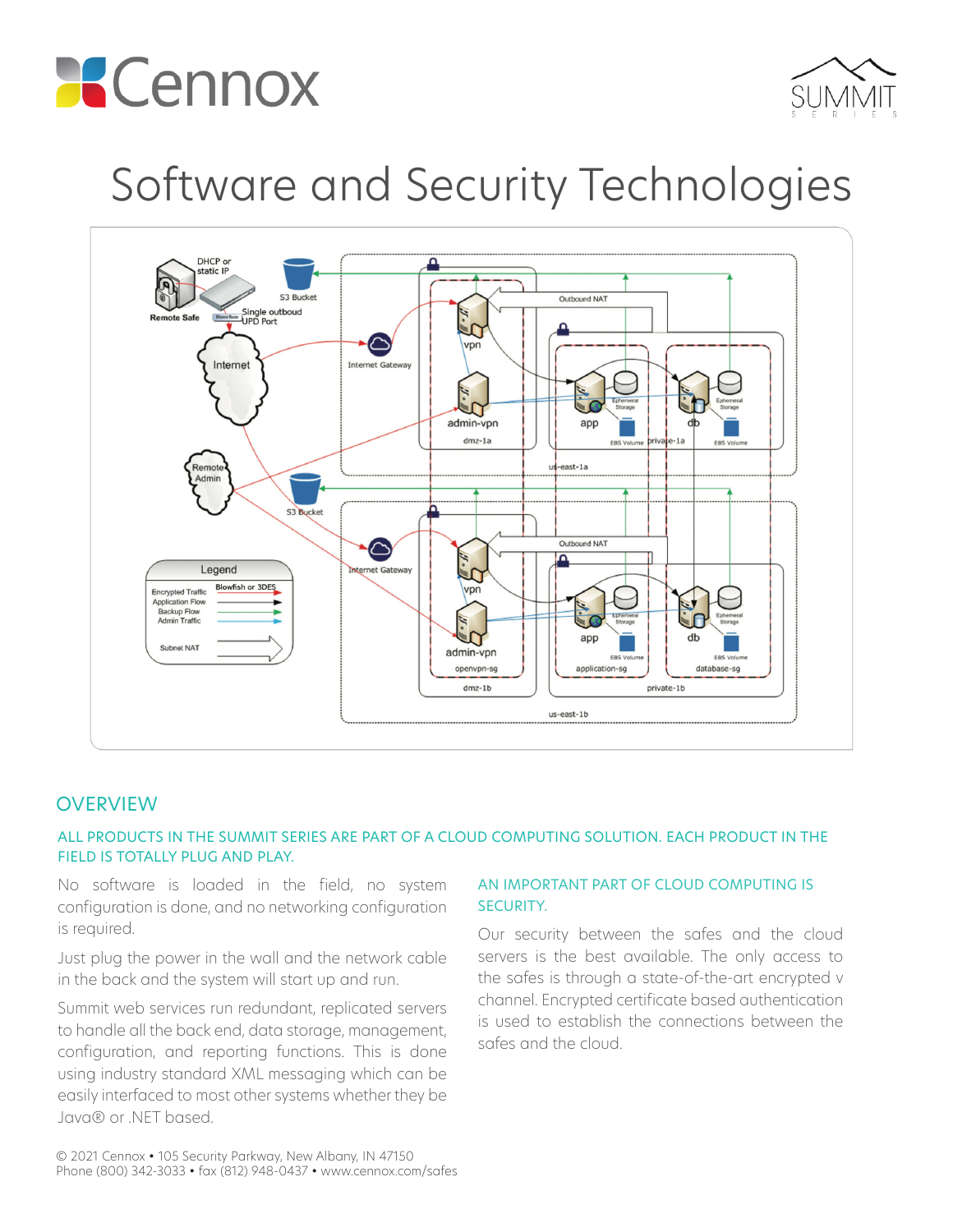



# Software and Security Technologies



# **OVERVIEW**

#### ALL PRODUCTS IN THE SUMMIT SERIES ARE PART OF A CLOUD COMPUTING SOLUTION. EACH PRODUCT IN THE FIELD IS TOTALLY PLUG AND PLAY.

No software is loaded in the field, no system configuration is done, and no networking configuration is required.

Just plug the power in the wall and the network cable in the back and the system will start up and run.

Summit web services run redundant, replicated servers to handle all the back end, data storage, management, configuration, and reporting functions. This is done using industry standard XML messaging which can be easily interfaced to most other systems whether they be Java® or .NET based.

#### AN IMPORTANT PART OF CLOUD COMPUTING IS SECURITY.

Our security between the safes and the cloud servers is the best available. The only access to the safes is through a state-of-the-art encrypted v channel. Encrypted certificate based authentication is used to establish the connections between the safes and the cloud.